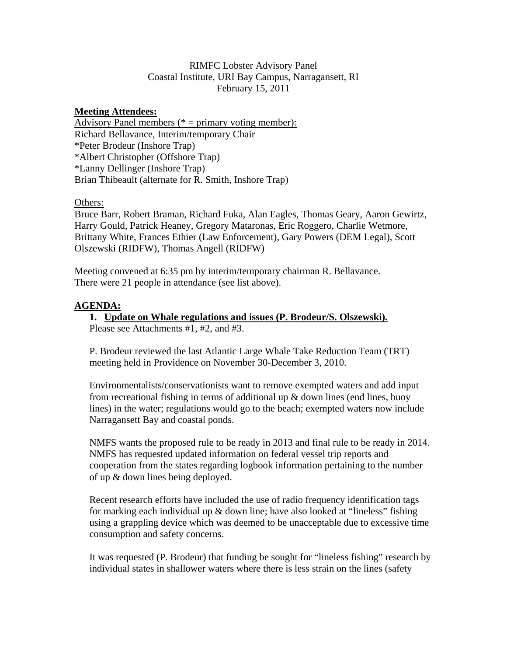### RIMFC Lobster Advisory Panel Coastal Institute, URI Bay Campus, Narragansett, RI February 15, 2011

### **Meeting Attendees:**

Advisory Panel members ( $* =$  primary voting member): Richard Bellavance, Interim/temporary Chair \*Peter Brodeur (Inshore Trap) \*Albert Christopher (Offshore Trap) \*Lanny Dellinger (Inshore Trap) Brian Thibeault (alternate for R. Smith, Inshore Trap)

### Others:

Bruce Barr, Robert Braman, Richard Fuka, Alan Eagles, Thomas Geary, Aaron Gewirtz, Harry Gould, Patrick Heaney, Gregory Mataronas, Eric Roggero, Charlie Wetmore, Brittany White, Frances Ethier (Law Enforcement), Gary Powers (DEM Legal), Scott Olszewski (RIDFW), Thomas Angell (RIDFW)

Meeting convened at 6:35 pm by interim/temporary chairman R. Bellavance. There were 21 people in attendance (see list above).

### **AGENDA:**

## **1. Update on Whale regulations and issues (P. Brodeur/S. Olszewski).**

Please see Attachments #1, #2, and #3.

P. Brodeur reviewed the last Atlantic Large Whale Take Reduction Team (TRT) meeting held in Providence on November 30-December 3, 2010.

Environmentalists/conservationists want to remove exempted waters and add input from recreational fishing in terms of additional up  $\&$  down lines (end lines, buoy lines) in the water; regulations would go to the beach; exempted waters now include Narragansett Bay and coastal ponds.

NMFS wants the proposed rule to be ready in 2013 and final rule to be ready in 2014. NMFS has requested updated information on federal vessel trip reports and cooperation from the states regarding logbook information pertaining to the number of up & down lines being deployed.

Recent research efforts have included the use of radio frequency identification tags for marking each individual up & down line; have also looked at "lineless" fishing using a grappling device which was deemed to be unacceptable due to excessive time consumption and safety concerns.

It was requested (P. Brodeur) that funding be sought for "lineless fishing" research by individual states in shallower waters where there is less strain on the lines (safety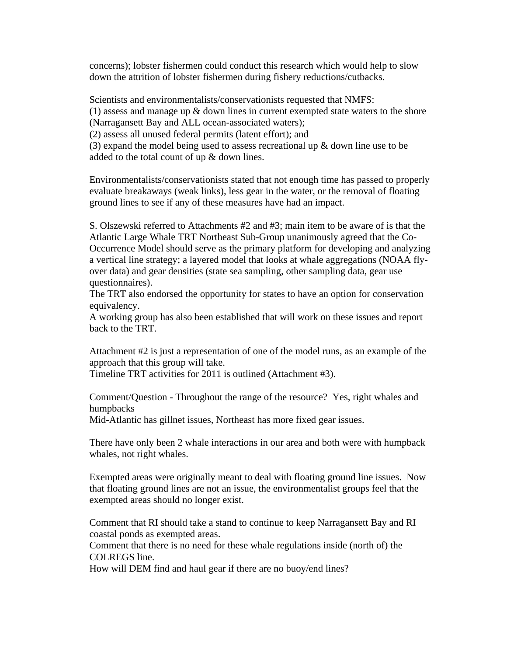concerns); lobster fishermen could conduct this research which would help to slow down the attrition of lobster fishermen during fishery reductions/cutbacks.

Scientists and environmentalists/conservationists requested that NMFS:  $(1)$  assess and manage up  $\&$  down lines in current exempted state waters to the shore (Narragansett Bay and ALL ocean-associated waters); (2) assess all unused federal permits (latent effort); and (3) expand the model being used to assess recreational up  $\&$  down line use to be added to the total count of up & down lines.

Environmentalists/conservationists stated that not enough time has passed to properly evaluate breakaways (weak links), less gear in the water, or the removal of floating ground lines to see if any of these measures have had an impact.

S. Olszewski referred to Attachments #2 and #3; main item to be aware of is that the Atlantic Large Whale TRT Northeast Sub-Group unanimously agreed that the Co-Occurrence Model should serve as the primary platform for developing and analyzing a vertical line strategy; a layered model that looks at whale aggregations (NOAA flyover data) and gear densities (state sea sampling, other sampling data, gear use questionnaires).

The TRT also endorsed the opportunity for states to have an option for conservation equivalency.

A working group has also been established that will work on these issues and report back to the TRT.

Attachment #2 is just a representation of one of the model runs, as an example of the approach that this group will take.

Timeline TRT activities for 2011 is outlined (Attachment #3).

Comment/Question - Throughout the range of the resource? Yes, right whales and humpbacks

Mid-Atlantic has gillnet issues, Northeast has more fixed gear issues.

There have only been 2 whale interactions in our area and both were with humpback whales, not right whales.

Exempted areas were originally meant to deal with floating ground line issues. Now that floating ground lines are not an issue, the environmentalist groups feel that the exempted areas should no longer exist.

Comment that RI should take a stand to continue to keep Narragansett Bay and RI coastal ponds as exempted areas.

Comment that there is no need for these whale regulations inside (north of) the COLREGS line.

How will DEM find and haul gear if there are no buoy/end lines?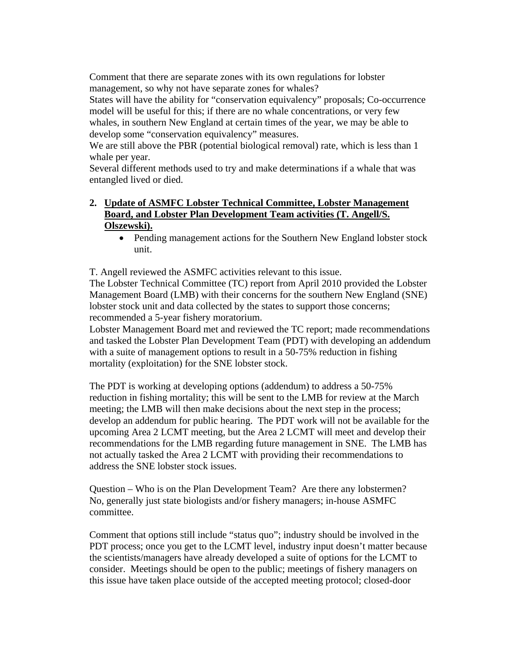Comment that there are separate zones with its own regulations for lobster management, so why not have separate zones for whales?

States will have the ability for "conservation equivalency" proposals; Co-occurrence model will be useful for this; if there are no whale concentrations, or very few whales, in southern New England at certain times of the year, we may be able to develop some "conservation equivalency" measures.

We are still above the PBR (potential biological removal) rate, which is less than 1 whale per year.

Several different methods used to try and make determinations if a whale that was entangled lived or died.

## **2. Update of ASMFC Lobster Technical Committee, Lobster Management Board, and Lobster Plan Development Team activities (T. Angell/S. Olszewski).**

• Pending management actions for the Southern New England lobster stock unit.

T. Angell reviewed the ASMFC activities relevant to this issue.

The Lobster Technical Committee (TC) report from April 2010 provided the Lobster Management Board (LMB) with their concerns for the southern New England (SNE) lobster stock unit and data collected by the states to support those concerns; recommended a 5-year fishery moratorium.

Lobster Management Board met and reviewed the TC report; made recommendations and tasked the Lobster Plan Development Team (PDT) with developing an addendum with a suite of management options to result in a 50-75% reduction in fishing mortality (exploitation) for the SNE lobster stock.

The PDT is working at developing options (addendum) to address a 50-75% reduction in fishing mortality; this will be sent to the LMB for review at the March meeting; the LMB will then make decisions about the next step in the process; develop an addendum for public hearing. The PDT work will not be available for the upcoming Area 2 LCMT meeting, but the Area 2 LCMT will meet and develop their recommendations for the LMB regarding future management in SNE. The LMB has not actually tasked the Area 2 LCMT with providing their recommendations to address the SNE lobster stock issues.

Question – Who is on the Plan Development Team? Are there any lobstermen? No, generally just state biologists and/or fishery managers; in-house ASMFC committee.

Comment that options still include "status quo"; industry should be involved in the PDT process; once you get to the LCMT level, industry input doesn't matter because the scientists/managers have already developed a suite of options for the LCMT to consider. Meetings should be open to the public; meetings of fishery managers on this issue have taken place outside of the accepted meeting protocol; closed-door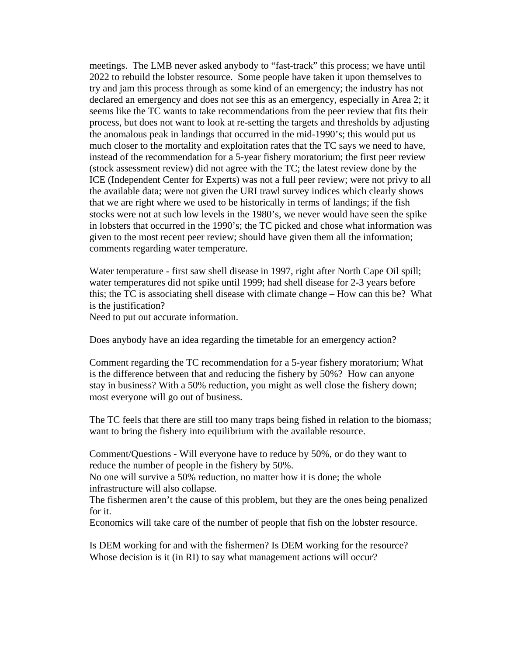meetings. The LMB never asked anybody to "fast-track" this process; we have until 2022 to rebuild the lobster resource. Some people have taken it upon themselves to try and jam this process through as some kind of an emergency; the industry has not declared an emergency and does not see this as an emergency, especially in Area 2; it seems like the TC wants to take recommendations from the peer review that fits their process, but does not want to look at re-setting the targets and thresholds by adjusting the anomalous peak in landings that occurred in the mid-1990's; this would put us much closer to the mortality and exploitation rates that the TC says we need to have, instead of the recommendation for a 5-year fishery moratorium; the first peer review (stock assessment review) did not agree with the TC; the latest review done by the ICE (Independent Center for Experts) was not a full peer review; were not privy to all the available data; were not given the URI trawl survey indices which clearly shows that we are right where we used to be historically in terms of landings; if the fish stocks were not at such low levels in the 1980's, we never would have seen the spike in lobsters that occurred in the 1990's; the TC picked and chose what information was given to the most recent peer review; should have given them all the information; comments regarding water temperature.

Water temperature - first saw shell disease in 1997, right after North Cape Oil spill; water temperatures did not spike until 1999; had shell disease for 2-3 years before this; the TC is associating shell disease with climate change – How can this be? What is the justification?

Need to put out accurate information.

Does anybody have an idea regarding the timetable for an emergency action?

Comment regarding the TC recommendation for a 5-year fishery moratorium; What is the difference between that and reducing the fishery by 50%? How can anyone stay in business? With a 50% reduction, you might as well close the fishery down; most everyone will go out of business.

The TC feels that there are still too many traps being fished in relation to the biomass; want to bring the fishery into equilibrium with the available resource.

Comment/Questions - Will everyone have to reduce by 50%, or do they want to reduce the number of people in the fishery by 50%.

No one will survive a 50% reduction, no matter how it is done; the whole infrastructure will also collapse.

The fishermen aren't the cause of this problem, but they are the ones being penalized for it.

Economics will take care of the number of people that fish on the lobster resource.

Is DEM working for and with the fishermen? Is DEM working for the resource? Whose decision is it (in RI) to say what management actions will occur?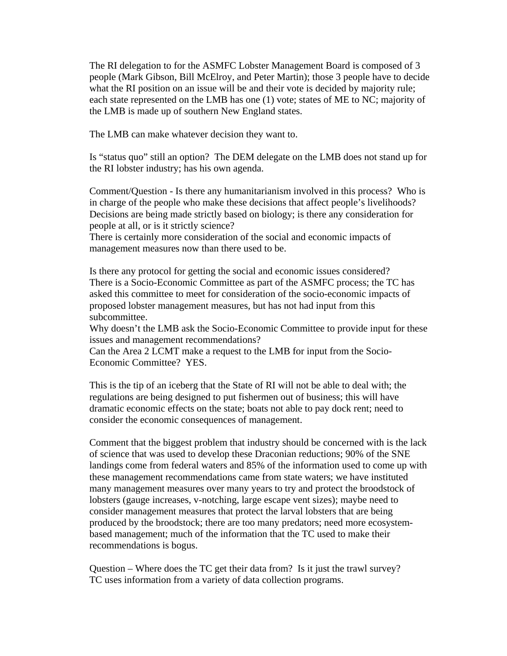The RI delegation to for the ASMFC Lobster Management Board is composed of 3 people (Mark Gibson, Bill McElroy, and Peter Martin); those 3 people have to decide what the RI position on an issue will be and their vote is decided by majority rule; each state represented on the LMB has one (1) vote; states of ME to NC; majority of the LMB is made up of southern New England states.

The LMB can make whatever decision they want to.

Is "status quo" still an option? The DEM delegate on the LMB does not stand up for the RI lobster industry; has his own agenda.

Comment/Question - Is there any humanitarianism involved in this process? Who is in charge of the people who make these decisions that affect people's livelihoods? Decisions are being made strictly based on biology; is there any consideration for people at all, or is it strictly science?

There is certainly more consideration of the social and economic impacts of management measures now than there used to be.

Is there any protocol for getting the social and economic issues considered? There is a Socio-Economic Committee as part of the ASMFC process; the TC has asked this committee to meet for consideration of the socio-economic impacts of proposed lobster management measures, but has not had input from this subcommittee.

Why doesn't the LMB ask the Socio-Economic Committee to provide input for these issues and management recommendations?

Can the Area 2 LCMT make a request to the LMB for input from the Socio-Economic Committee? YES.

This is the tip of an iceberg that the State of RI will not be able to deal with; the regulations are being designed to put fishermen out of business; this will have dramatic economic effects on the state; boats not able to pay dock rent; need to consider the economic consequences of management.

Comment that the biggest problem that industry should be concerned with is the lack of science that was used to develop these Draconian reductions; 90% of the SNE landings come from federal waters and 85% of the information used to come up with these management recommendations came from state waters; we have instituted many management measures over many years to try and protect the broodstock of lobsters (gauge increases, v-notching, large escape vent sizes); maybe need to consider management measures that protect the larval lobsters that are being produced by the broodstock; there are too many predators; need more ecosystembased management; much of the information that the TC used to make their recommendations is bogus.

Question – Where does the TC get their data from? Is it just the trawl survey? TC uses information from a variety of data collection programs.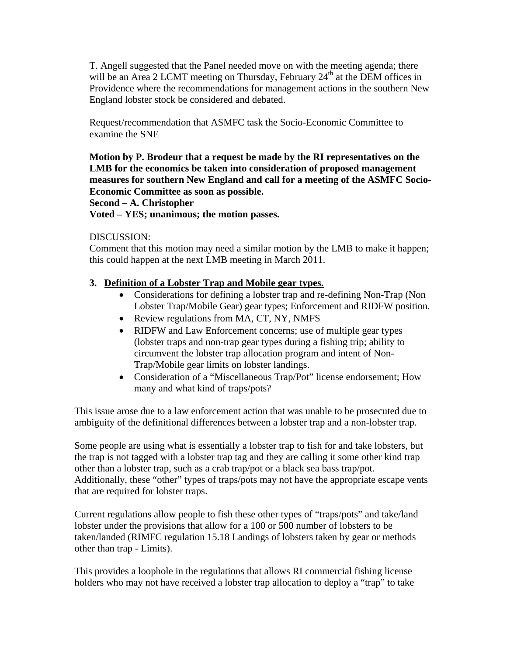T. Angell suggested that the Panel needed move on with the meeting agenda; there will be an Area 2 LCMT meeting on Thursday, February  $24<sup>th</sup>$  at the DEM offices in Providence where the recommendations for management actions in the southern New England lobster stock be considered and debated.

Request/recommendation that ASMFC task the Socio-Economic Committee to examine the SNE

**Motion by P. Brodeur that a request be made by the RI representatives on the LMB for the economics be taken into consideration of proposed management measures for southern New England and call for a meeting of the ASMFC Socio-Economic Committee as soon as possible.** 

**Second – A. Christopher** 

**Voted – YES; unanimous; the motion passes.** 

### DISCUSSION:

Comment that this motion may need a similar motion by the LMB to make it happen; this could happen at the next LMB meeting in March 2011.

## **3. Definition of a Lobster Trap and Mobile gear types.**

- Considerations for defining a lobster trap and re-defining Non-Trap (Non Lobster Trap/Mobile Gear) gear types; Enforcement and RIDFW position.
- Review regulations from MA, CT, NY, NMFS
- RIDFW and Law Enforcement concerns; use of multiple gear types (lobster traps and non-trap gear types during a fishing trip; ability to circumvent the lobster trap allocation program and intent of Non-Trap/Mobile gear limits on lobster landings.
- Consideration of a "Miscellaneous Trap/Pot" license endorsement; How many and what kind of traps/pots?

This issue arose due to a law enforcement action that was unable to be prosecuted due to ambiguity of the definitional differences between a lobster trap and a non-lobster trap.

Some people are using what is essentially a lobster trap to fish for and take lobsters, but the trap is not tagged with a lobster trap tag and they are calling it some other kind trap other than a lobster trap, such as a crab trap/pot or a black sea bass trap/pot. Additionally, these "other" types of traps/pots may not have the appropriate escape vents that are required for lobster traps.

Current regulations allow people to fish these other types of "traps/pots" and take/land lobster under the provisions that allow for a 100 or 500 number of lobsters to be taken/landed (RIMFC regulation 15.18 Landings of lobsters taken by gear or methods other than trap - Limits).

This provides a loophole in the regulations that allows RI commercial fishing license holders who may not have received a lobster trap allocation to deploy a "trap" to take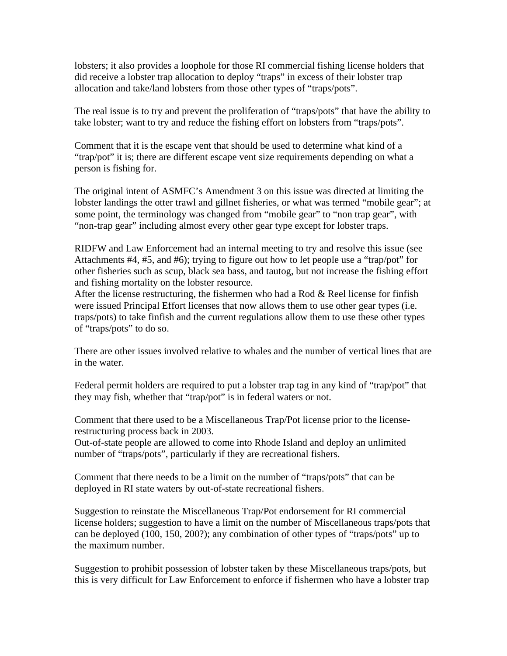lobsters; it also provides a loophole for those RI commercial fishing license holders that did receive a lobster trap allocation to deploy "traps" in excess of their lobster trap allocation and take/land lobsters from those other types of "traps/pots".

The real issue is to try and prevent the proliferation of "traps/pots" that have the ability to take lobster; want to try and reduce the fishing effort on lobsters from "traps/pots".

Comment that it is the escape vent that should be used to determine what kind of a "trap/pot" it is; there are different escape vent size requirements depending on what a person is fishing for.

The original intent of ASMFC's Amendment 3 on this issue was directed at limiting the lobster landings the otter trawl and gillnet fisheries, or what was termed "mobile gear"; at some point, the terminology was changed from "mobile gear" to "non trap gear", with "non-trap gear" including almost every other gear type except for lobster traps.

RIDFW and Law Enforcement had an internal meeting to try and resolve this issue (see Attachments #4, #5, and #6); trying to figure out how to let people use a "trap/pot" for other fisheries such as scup, black sea bass, and tautog, but not increase the fishing effort and fishing mortality on the lobster resource.

After the license restructuring, the fishermen who had a Rod  $\&$  Reel license for finfish were issued Principal Effort licenses that now allows them to use other gear types (i.e. traps/pots) to take finfish and the current regulations allow them to use these other types of "traps/pots" to do so.

There are other issues involved relative to whales and the number of vertical lines that are in the water.

Federal permit holders are required to put a lobster trap tag in any kind of "trap/pot" that they may fish, whether that "trap/pot" is in federal waters or not.

Comment that there used to be a Miscellaneous Trap/Pot license prior to the licenserestructuring process back in 2003.

Out-of-state people are allowed to come into Rhode Island and deploy an unlimited number of "traps/pots", particularly if they are recreational fishers.

Comment that there needs to be a limit on the number of "traps/pots" that can be deployed in RI state waters by out-of-state recreational fishers.

Suggestion to reinstate the Miscellaneous Trap/Pot endorsement for RI commercial license holders; suggestion to have a limit on the number of Miscellaneous traps/pots that can be deployed (100, 150, 200?); any combination of other types of "traps/pots" up to the maximum number.

Suggestion to prohibit possession of lobster taken by these Miscellaneous traps/pots, but this is very difficult for Law Enforcement to enforce if fishermen who have a lobster trap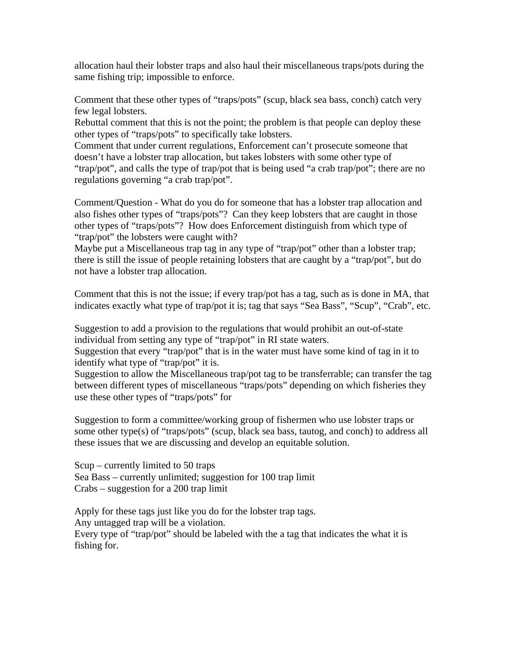allocation haul their lobster traps and also haul their miscellaneous traps/pots during the same fishing trip; impossible to enforce.

Comment that these other types of "traps/pots" (scup, black sea bass, conch) catch very few legal lobsters.

Rebuttal comment that this is not the point; the problem is that people can deploy these other types of "traps/pots" to specifically take lobsters.

Comment that under current regulations, Enforcement can't prosecute someone that doesn't have a lobster trap allocation, but takes lobsters with some other type of "trap/pot", and calls the type of trap/pot that is being used "a crab trap/pot"; there are no regulations governing "a crab trap/pot".

Comment/Question - What do you do for someone that has a lobster trap allocation and also fishes other types of "traps/pots"? Can they keep lobsters that are caught in those other types of "traps/pots"? How does Enforcement distinguish from which type of "trap/pot" the lobsters were caught with?

Maybe put a Miscellaneous trap tag in any type of "trap/pot" other than a lobster trap; there is still the issue of people retaining lobsters that are caught by a "trap/pot", but do not have a lobster trap allocation.

Comment that this is not the issue; if every trap/pot has a tag, such as is done in MA, that indicates exactly what type of trap/pot it is; tag that says "Sea Bass", "Scup", "Crab", etc.

Suggestion to add a provision to the regulations that would prohibit an out-of-state individual from setting any type of "trap/pot" in RI state waters.

Suggestion that every "trap/pot" that is in the water must have some kind of tag in it to identify what type of "trap/pot" it is.

Suggestion to allow the Miscellaneous trap/pot tag to be transferrable; can transfer the tag between different types of miscellaneous "traps/pots" depending on which fisheries they use these other types of "traps/pots" for

Suggestion to form a committee/working group of fishermen who use lobster traps or some other type(s) of "traps/pots" (scup, black sea bass, tautog, and conch) to address all these issues that we are discussing and develop an equitable solution.

Scup – currently limited to 50 traps Sea Bass – currently unlimited; suggestion for 100 trap limit Crabs – suggestion for a 200 trap limit

Apply for these tags just like you do for the lobster trap tags.

Any untagged trap will be a violation.

Every type of "trap/pot" should be labeled with the a tag that indicates the what it is fishing for.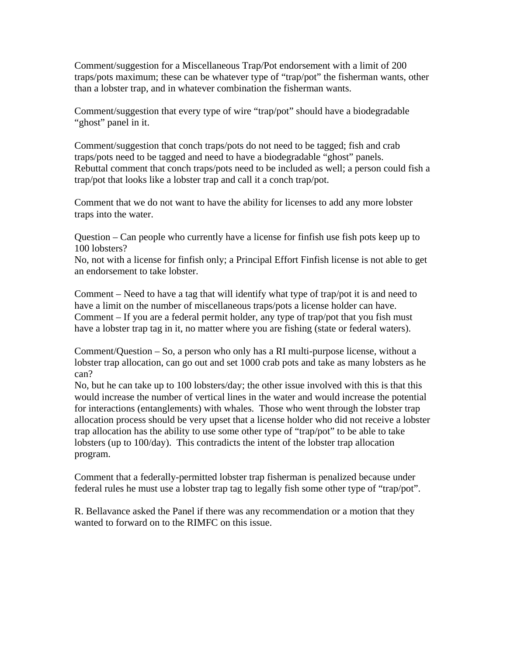Comment/suggestion for a Miscellaneous Trap/Pot endorsement with a limit of 200 traps/pots maximum; these can be whatever type of "trap/pot" the fisherman wants, other than a lobster trap, and in whatever combination the fisherman wants.

Comment/suggestion that every type of wire "trap/pot" should have a biodegradable "ghost" panel in it.

Comment/suggestion that conch traps/pots do not need to be tagged; fish and crab traps/pots need to be tagged and need to have a biodegradable "ghost" panels. Rebuttal comment that conch traps/pots need to be included as well; a person could fish a trap/pot that looks like a lobster trap and call it a conch trap/pot.

Comment that we do not want to have the ability for licenses to add any more lobster traps into the water.

Question – Can people who currently have a license for finfish use fish pots keep up to 100 lobsters?

No, not with a license for finfish only; a Principal Effort Finfish license is not able to get an endorsement to take lobster.

Comment – Need to have a tag that will identify what type of trap/pot it is and need to have a limit on the number of miscellaneous traps/pots a license holder can have. Comment – If you are a federal permit holder, any type of trap/pot that you fish must have a lobster trap tag in it, no matter where you are fishing (state or federal waters).

Comment/Question – So, a person who only has a RI multi-purpose license, without a lobster trap allocation, can go out and set 1000 crab pots and take as many lobsters as he can?

No, but he can take up to 100 lobsters/day; the other issue involved with this is that this would increase the number of vertical lines in the water and would increase the potential for interactions (entanglements) with whales. Those who went through the lobster trap allocation process should be very upset that a license holder who did not receive a lobster trap allocation has the ability to use some other type of "trap/pot" to be able to take lobsters (up to 100/day). This contradicts the intent of the lobster trap allocation program.

Comment that a federally-permitted lobster trap fisherman is penalized because under federal rules he must use a lobster trap tag to legally fish some other type of "trap/pot".

R. Bellavance asked the Panel if there was any recommendation or a motion that they wanted to forward on to the RIMFC on this issue.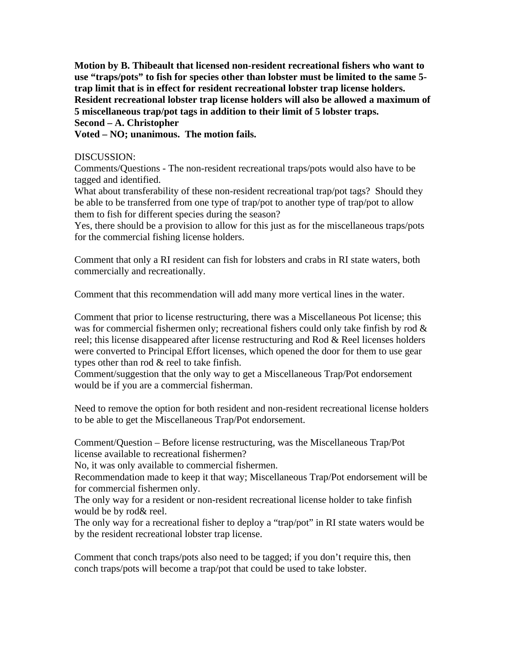**Motion by B. Thibeault that licensed non-resident recreational fishers who want to use "traps/pots" to fish for species other than lobster must be limited to the same 5 trap limit that is in effect for resident recreational lobster trap license holders. Resident recreational lobster trap license holders will also be allowed a maximum of 5 miscellaneous trap/pot tags in addition to their limit of 5 lobster traps. Second – A. Christopher** 

**Voted – NO; unanimous. The motion fails.** 

### DISCUSSION:

Comments/Questions - The non-resident recreational traps/pots would also have to be tagged and identified.

What about transferability of these non-resident recreational trap/pot tags? Should they be able to be transferred from one type of trap/pot to another type of trap/pot to allow them to fish for different species during the season?

Yes, there should be a provision to allow for this just as for the miscellaneous traps/pots for the commercial fishing license holders.

Comment that only a RI resident can fish for lobsters and crabs in RI state waters, both commercially and recreationally.

Comment that this recommendation will add many more vertical lines in the water.

Comment that prior to license restructuring, there was a Miscellaneous Pot license; this was for commercial fishermen only; recreational fishers could only take finfish by rod & reel; this license disappeared after license restructuring and Rod & Reel licenses holders were converted to Principal Effort licenses, which opened the door for them to use gear types other than rod & reel to take finfish.

Comment/suggestion that the only way to get a Miscellaneous Trap/Pot endorsement would be if you are a commercial fisherman.

Need to remove the option for both resident and non-resident recreational license holders to be able to get the Miscellaneous Trap/Pot endorsement.

Comment/Question – Before license restructuring, was the Miscellaneous Trap/Pot license available to recreational fishermen?

No, it was only available to commercial fishermen.

Recommendation made to keep it that way; Miscellaneous Trap/Pot endorsement will be for commercial fishermen only.

The only way for a resident or non-resident recreational license holder to take finfish would be by rod& reel.

The only way for a recreational fisher to deploy a "trap/pot" in RI state waters would be by the resident recreational lobster trap license.

Comment that conch traps/pots also need to be tagged; if you don't require this, then conch traps/pots will become a trap/pot that could be used to take lobster.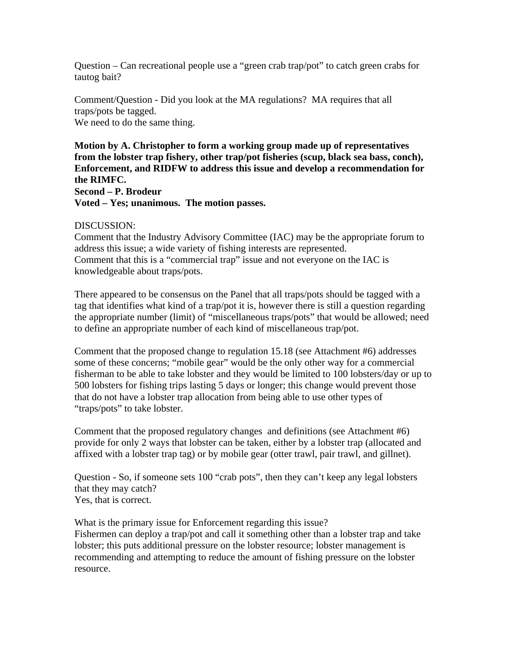Question – Can recreational people use a "green crab trap/pot" to catch green crabs for tautog bait?

Comment/Question - Did you look at the MA regulations? MA requires that all traps/pots be tagged. We need to do the same thing.

**Motion by A. Christopher to form a working group made up of representatives from the lobster trap fishery, other trap/pot fisheries (scup, black sea bass, conch), Enforcement, and RIDFW to address this issue and develop a recommendation for the RIMFC. Second – P. Brodeur Voted – Yes; unanimous. The motion passes.** 

### DISCUSSION:

Comment that the Industry Advisory Committee (IAC) may be the appropriate forum to address this issue; a wide variety of fishing interests are represented. Comment that this is a "commercial trap" issue and not everyone on the IAC is knowledgeable about traps/pots.

There appeared to be consensus on the Panel that all traps/pots should be tagged with a tag that identifies what kind of a trap/pot it is, however there is still a question regarding the appropriate number (limit) of "miscellaneous traps/pots" that would be allowed; need to define an appropriate number of each kind of miscellaneous trap/pot.

Comment that the proposed change to regulation 15.18 (see Attachment #6) addresses some of these concerns; "mobile gear" would be the only other way for a commercial fisherman to be able to take lobster and they would be limited to 100 lobsters/day or up to 500 lobsters for fishing trips lasting 5 days or longer; this change would prevent those that do not have a lobster trap allocation from being able to use other types of "traps/pots" to take lobster.

Comment that the proposed regulatory changes and definitions (see Attachment #6) provide for only 2 ways that lobster can be taken, either by a lobster trap (allocated and affixed with a lobster trap tag) or by mobile gear (otter trawl, pair trawl, and gillnet).

Question - So, if someone sets 100 "crab pots", then they can't keep any legal lobsters that they may catch?

Yes, that is correct.

What is the primary issue for Enforcement regarding this issue? Fishermen can deploy a trap/pot and call it something other than a lobster trap and take lobster; this puts additional pressure on the lobster resource; lobster management is recommending and attempting to reduce the amount of fishing pressure on the lobster resource.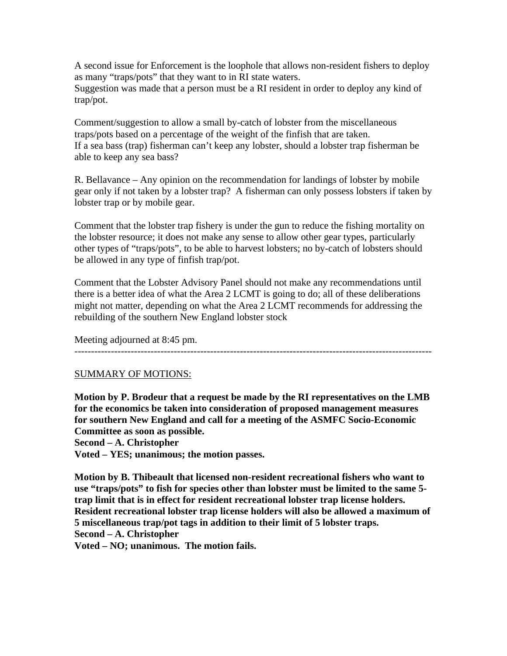A second issue for Enforcement is the loophole that allows non-resident fishers to deploy as many "traps/pots" that they want to in RI state waters. Suggestion was made that a person must be a RI resident in order to deploy any kind of trap/pot.

Comment/suggestion to allow a small by-catch of lobster from the miscellaneous traps/pots based on a percentage of the weight of the finfish that are taken. If a sea bass (trap) fisherman can't keep any lobster, should a lobster trap fisherman be able to keep any sea bass?

R. Bellavance – Any opinion on the recommendation for landings of lobster by mobile gear only if not taken by a lobster trap? A fisherman can only possess lobsters if taken by lobster trap or by mobile gear.

Comment that the lobster trap fishery is under the gun to reduce the fishing mortality on the lobster resource; it does not make any sense to allow other gear types, particularly other types of "traps/pots", to be able to harvest lobsters; no by-catch of lobsters should be allowed in any type of finfish trap/pot.

Comment that the Lobster Advisory Panel should not make any recommendations until there is a better idea of what the Area 2 LCMT is going to do; all of these deliberations might not matter, depending on what the Area 2 LCMT recommends for addressing the rebuilding of the southern New England lobster stock

Meeting adjourned at 8:45 pm.

### ------------------------------------------------------------------------------------------------------------

### SUMMARY OF MOTIONS:

**Motion by P. Brodeur that a request be made by the RI representatives on the LMB for the economics be taken into consideration of proposed management measures for southern New England and call for a meeting of the ASMFC Socio-Economic Committee as soon as possible.** 

**Second – A. Christopher** 

**Voted – YES; unanimous; the motion passes.** 

**Motion by B. Thibeault that licensed non-resident recreational fishers who want to use "traps/pots" to fish for species other than lobster must be limited to the same 5 trap limit that is in effect for resident recreational lobster trap license holders. Resident recreational lobster trap license holders will also be allowed a maximum of 5 miscellaneous trap/pot tags in addition to their limit of 5 lobster traps. Second – A. Christopher** 

**Voted – NO; unanimous. The motion fails.**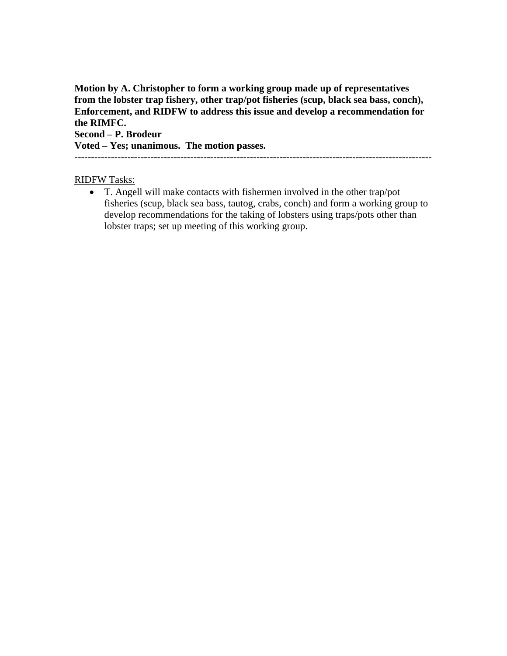**Motion by A. Christopher to form a working group made up of representatives from the lobster trap fishery, other trap/pot fisheries (scup, black sea bass, conch), Enforcement, and RIDFW to address this issue and develop a recommendation for the RIMFC.** 

**Second – P. Brodeur** 

**Voted – Yes; unanimous. The motion passes.** 

------------------------------------------------------------------------------------------------------------

### RIDFW Tasks:

• T. Angell will make contacts with fishermen involved in the other trap/pot fisheries (scup, black sea bass, tautog, crabs, conch) and form a working group to develop recommendations for the taking of lobsters using traps/pots other than lobster traps; set up meeting of this working group.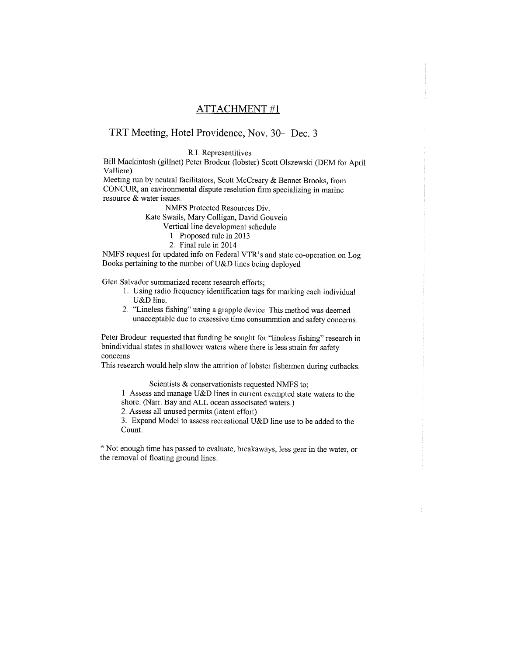### **ATTACHMENT#1**

### TRT Meeting, Hotel Providence, Nov. 30—Dec. 3

**R.I. Representitives** 

Bill Mackintosh (gillnet) Peter Brodeur (lobster) Scott Olszewski (DEM for April Valliere)

Meeting run by neutral facilitators, Scott McCreary & Bennet Brooks, from CONCUR, an environmental dispute reselution firm specializing in marine resource & water issues

NMFS Protected Resources Div.

Kate Swails, Mary Colligan, David Gouveia

- Vertical line development schedule
	- 1. Proposed rule in 2013
	- 2. Final rule in 2014

NMFS request for updated info on Federal VTR's and state co-operation on Log Books pertaining to the number of U&D lines being deployed

Glen Salvador summarized recent research efforts;

- 1. Using radio frequency identification tags for marking each individual U&D line.
- 2. "Lineless fishing" using a grapple device. This method was deemed unacceptable due to exsessive time consummtion and safety concerns.

Peter Brodeur requested that funding be sought for "lineless fishing" research in bnindividual states in shallower waters where there is less strain for safety concerns.

This research would help slow the attrition of lobster fishermen during cutbacks.

Scientists & conservationists requested NMFS to:

1. Assess and manage U&D lines in current exempted state waters to the shore. (Narr. Bay and ALL ocean associsated waters.)

2. Assess all unused permits (latent effort).

3. Expand Model to assess recreational U&D line use to be added to the Count.

\* Not enough time has passed to evaluate, breakaways, less gear in the water, or the removal of floating ground lines.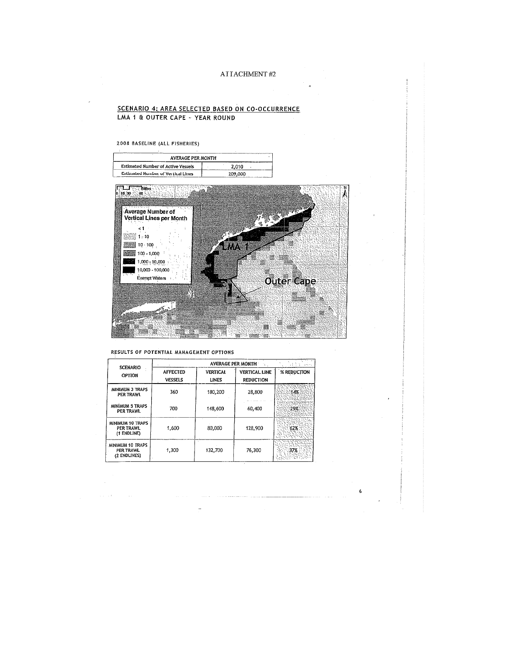### ATTACHMENT#2

### SCENARIO 4: AREA SELECTED BASED ON CO-OCCURRENCE LMA 1 & OUTER CAPE - YEAR ROUND

### 2008 BASELINE (ALL FISHERIES)

| <b>AVERAGE PER MONTH</b>                  |         |
|-------------------------------------------|---------|
| <b>Estimated Number of Active Vessels</b> | 2.010   |
| <b>Estimated Number of Vertical Lines</b> | 209.000 |



### RESULTS OF POTENTIAL MANAGEMENT OPTIONS

 $\sim$  10  $\pm$ 

| <b>SCENARIO</b>                                     | AVERAGE PER MONTH                 |                          |                                          |             |  |
|-----------------------------------------------------|-----------------------------------|--------------------------|------------------------------------------|-------------|--|
| <b>OPTION</b>                                       | <b>AFFECTED</b><br><b>VESSELS</b> | <b>VERTICAL</b><br>LINES | <b>VERTICAL LINE</b><br><b>REDUCTION</b> | % REDUCTION |  |
| MINIMUM 3 TRAPS<br>PER TRAWL                        | 360                               | 180.200                  | 28,800                                   | 14%         |  |
| MINIMUM 5 TRAPS<br>PER TRAWL                        | 700                               | 148,600                  | 60.400                                   | 29%         |  |
| <b>MINIMUM 10 TRAPS</b><br>PER TRAWL<br>(1 ENDLINE) | 1,600                             | 80.000                   | 128,900                                  | 62%         |  |
| MINIMUM 10 TRAPS<br>PER TRAWL<br>(2 ENDLINES)       | 1,300                             | 132,700                  | 76.300                                   |             |  |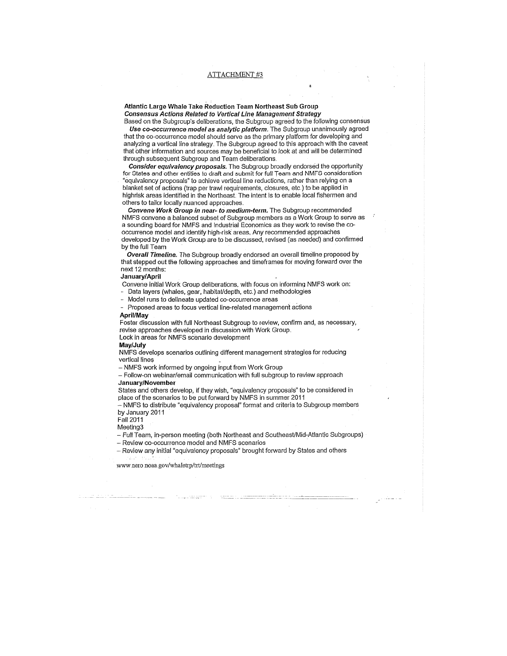#### Atlantic Large Whale Take Reduction Team Northeast Sub Group **Consensus Actions Related to Vertical Line Management Strategy**

Based on the Subgroup's deliberations, the Subgroup agreed to the following consensus Use co-occurrence model as analytic platform. The Subgroup unanimously agreed that the co-occurrence model should serve as the primary platform for developing and analyzing a vertical line strategy. The Subgroup agreed to this approach with the caveat that other information and sources may be beneficial to look at and will be determined through subsequent Subgroup and Team deliberations.

Consider equivalency proposals. The Subgroup broadly endorsed the opportunity for States and other entities to draft and submit for full Team and NMFS consideration "equivalency proposals" to achieve vertical line reductions, rather than relying on a blanket set of actions (trap per trawl requirements, closures, etc.) to be applied in highrisk areas identified in the Northeast. The intent is to enable local fishermen and others to tailor locally nuanced approaches.

Convene Work Group in near- to medium-term. The Subgroup recommended NMFS convene a balanced subset of Subgroup members as a Work Group to serve as a sounding board for NMFS and Industrial Economics as they work to revise the cooccurrence model and identify high-risk areas, Any recommended approaches developed by the Work Group are to be discussed, revised (as needed) and confirmed by the full Team

**Overall Timeline.** The Subgroup broadly endorsed an overall timeline proposed by that stepped out the following approaches and timeframes for moving forward over the next 12 months:

#### Januarv/April

Convene initial Work Group deliberations, with focus on informing NMFS work on:

Data layers (whales, gear, habitat/depth, etc.) and methodologies

Model runs to delineate updated co-occurrence areas

Proposed areas to focus vertical line-related management actions

#### April/May

Foster discussion with full Northeast Subgroup to review, confirm and, as necessary, revise approaches developed in discussion with Work Group. Lock in areas for NMFS scenario development

#### Mav/July

NMFS develops scenarios outlining different management strategies for reducing vertical lines

- NMFS work informed by ongoing input from Work Group

- Follow-on webinar/email communication with full subgroup to review approach January/November

States and others develop, if they wish, "equivalency proposals" to be considered in place of the scenarios to be put forward by NMFS in summer 2011

- NMFS to distribute "equivalency proposal" format and criteria to Subgroup members by January 2011

Fall 2011

Meeting3

- Full Team, in-person meeting (both Northeast and Southeast/Mid-Atlantic Subgroups)

- Review co-occurrence model and NMFS scenarios

- Review any initial "equivalency proposals" brought forward by States and others

www.nero.noaa.gov/whaletrp/trt/meetings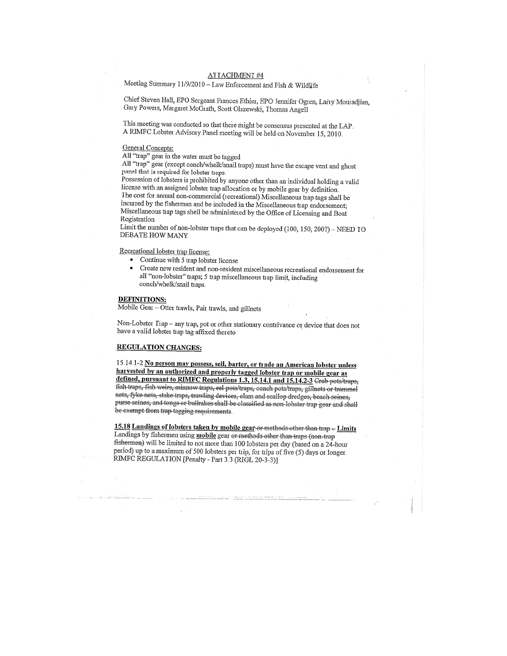#### ATTACHMENT#4

Meeting Summary 11/9/2010 - Law Enforcement and Fish & Wildlife

Chief Steven Hall, EPO Sergeant Frances Ethier, EPO Jennifer Ogren, Larry Mouradjian, Gary Powers, Margaret McGrath, Scott Olszewski, Thomas Angell

This meeting was conducted so that there might be consensus presented at the LAP. A RIMFC Lobster Advisory Panel meeting will be held on November 15, 2010.

#### **General Concepts:**

All "trap" gear in the water must be tagged

All "trap" gear (except conch/whelk/snail traps) must have the escape vent and ghost panel that is required for lobster traps.

Possession of lobsters is prohibited by anyone other than an individual holding a valid license with an assigned lobster trap allocation or by mobile gear by definition. The cost for annual non-commercial (recreational) Miscellaneous trap tags shall be incurred by the fisherman and be included in the Miscellaneous trap endorsement; Miscellaneous trap tags shell be administered by the Office of Licensing and Boat Registration

Limit the number of non-lobster traps that can be deployed (100, 150, 200?) – NEED IO **DEBATE HOW MANY** 

Recreational lobster trap license:

- Continue with 5 trap lobster license
- Create new resident and non-resident miscellaneous recreational endorsement for all "non-lobster" traps; 5 trap miscellaneous trap limit, including conch/whelk/snail traps.

#### **DEFINITIONS:**

Mobile Gear - Otter trawls, Pair trawls, and gillnets

Non-Lobster Trap - any trap, pot or other stationary contrivance or device that does not have a valid lobster trap tag affixed thereto.

#### **REGULATION CHANGES:**

15.14.1-2 No person may possess, sell, barter, or trade an American lobster unless harvested by an authorized and properly tagged lobster trap or mobile gear as defined, pursuant to RIMFC Regulations 1.3, 15.14.1 and 15.14.2-3 Crab pots/traps, fish traps, fish weirs, minnow traps, eel pots/traps, conch pots/traps, gillnets or trammel nets, fyke nets, stake traps, trawling devices, clam and scallop dredges, beach seines, purse scines, and tongs or bullrakes shall be classified as non-lobster trap gear and shall be exempt from trap tagging requirements.

15.18 Landings of lobsters taken by mobile gear or methods other than trap - Limits Landings by fishermen using mobile gear or methods other than traps (non-trap fishermen) will be limited to not more than 100 lobsters per day (based on a 24-hour period) up to a maximum of 500 lobsters per trip, for trips of five (5) days or longer. RIMFC REGULATION [Penalty - Part 3.3 (RIGL 20-3-3)]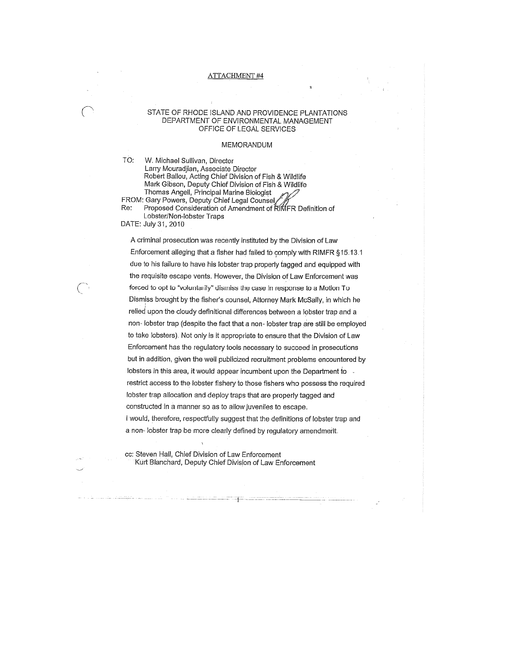#### **ATTACHMENT #4**

#### STATE OF RHODE ISLAND AND PROVIDENCE PLANTATIONS DEPARTMENT OF ENVIRONMENTAL MANAGEMENT OFFICE OF LEGAL SERVICES

#### **MEMORANDUM**

TO: W. Michael Sullivan, Director Larry Mouradjian, Associate Director Robert Ballou, Acting Chief Division of Fish & Wildlife Mark Gibson, Deputy Chief Division of Fish & Wildlife Thomas Angell, Principal Marine Biologist FROM: Gary Powers, Deputy Chief Legal Counsel Re: Proposed Consideration of Amendment of RIMFR Definition of

Lobster/Non-lobster Traps DATE: July 31, 2010

A criminal prosecution was recently instituted by the Division of Law Enforcement alleging that a fisher had failed to comply with RIMFR §15.13.1 due to his failure to have his lobster trap properly tagged and equipped with the requisite escape vents. However, the Division of Law Enforcement was forced to opt to "voluntarily" dismiss the case in response to a Motion To Dismiss brought by the fisher's counsel, Attorney Mark McSally, in which he relied upon the cloudy definitional differences between a lobster trap and a non- lobster trap (despite the fact that a non- lobster trap are still be employed to take lobsters). Not only is it appropriate to ensure that the Division of Law Enforcement has the regulatory tools necessary to succeed in prosecutions but in addition, given the well publicized recruitment problems encountered by lobsters in this area, it would appear incumbent upon the Department to . restrict access to the lobster fishery to those fishers who possess the required lobster trap allocation and deploy traps that are properly tagged and constructed in a manner so as to allow juveniles to escape. I would, therefore, respectfully suggest that the definitions of lobster trap and a non-lobster trap be more clearly defined by regulatory amendment.

cc: Steven Hall, Chief Division of Law Enforcement Kurt Blanchard, Deputy Chief Division of Law Enforcement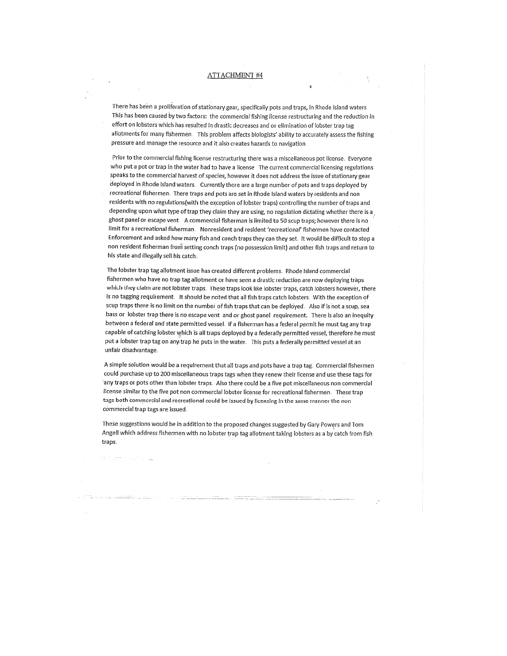#### **ATTACHMENT #4**

There has been a proliferation of stationary gear, specifically pots and traps, in Rhode Island waters This has been caused by two factors: the commercial fishing license restructuring and the reduction in effort on lobsters which has resulted in drastic decreases and or elimination of lobster trap tag allotments for many fishermen. This problem affects biologists' ability to accurately assess the fishing pressure and manage the resource and it also creates hazards to navigation.

Prior to the commercial fishing license restructuring there was a miscellaneous pot license. Everyone who put a pot or trap in the water had to have a license The current commercial licensing regulations speaks to the commercial harvest of species, however it does not address the issue of stationary gear deployed in Rhode Island waters. Currently there are a large number of pots and traps deployed by recreational fishermen. There traps and pots are set in Rhode Island waters by residents and non residents with no regulations(with the exception of lobster traps) controlling the number of traps and depending upon what type of trap they claim they are using, no regulation dictating whether there is a ghost panel or escape vent. A commercial fisherman is limited to 50 scup traps; however there is no limit for a recreational fisherman. Nonresident and resident 'recreational' fishermen have contacted Enforcement and asked how many fish and conch traps they can they set. It would be difficult to stop a non resident fisherman from setting conch traps (no possession limit) and other fish traps and return to his state and illegally sell his catch.

The lobster trap tag allotment issue has created different problems. Rhode Island commercial fishermen who have no trap tag allotment or have seen a drastic reduction are now deploying traps which they claim are not lobster traps. These traps look like lobster traps, catch lobsters however, there is no tagging requirement. It should be noted that all fish traps catch lobsters. With the exception of scup traps there is no limit on the number of fish traps that can be deployed. Also if is not a scup, sea bass or lobster trap there is no escape vent and or ghost panel requirement. There is also an inequity between a federal and state permitted vessel. If a fisherman has a federal permit he must tag any trap capable of catching lobster which is all traps deployed by a federally permitted vessel, therefore he must put a lobster trap tag on any trap he puts in the water. This puts a federally permitted vessel at an unfair disadvantage.

A simple solution would be a requirement that all traps and pots have a trap tag. Commercial fishermen could purchase up to 200 miscellaneous traps tags when they renew their license and use these tags for any traps or pots other than lobster traps. Also there could be a five pot miscellaneous non commercial license similar to the five pot non commercial lobster license for recreational fishermen. These trap tags both commercial and recreational could be issued by licensing in the same manner the non commercial trap tags are issued.

These suggestions would be in addition to the proposed changes suggested by Gary Powers and Tom Angell which address fishermen with no lobster trap tag allotment taking lobsters as a by catch from fish traps.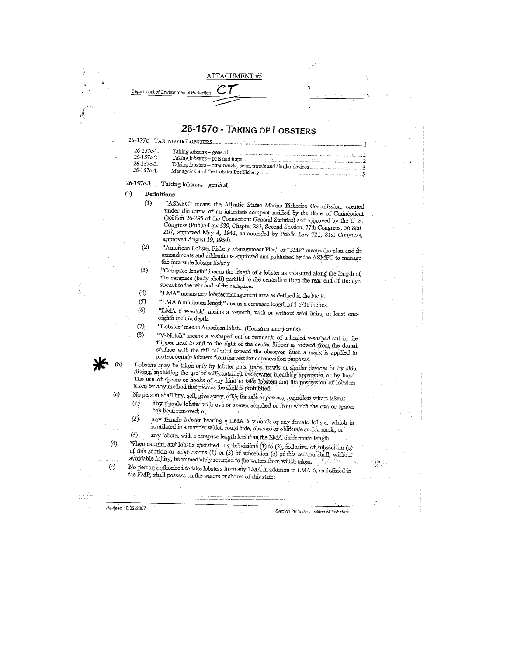#### **ATTACHMENT#5**

# 26-157c - TAKING OF LOBSTERS

|  | 26-157C TAKING OF LOBSTERS |
|--|----------------------------|
|  |                            |

Department of Environmental Prot

| $26 - 157c - 1$ |                                                                 |  |  |
|-----------------|-----------------------------------------------------------------|--|--|
| 26-157c-2       | Taking Jobsters-general.                                        |  |  |
|                 |                                                                 |  |  |
| 26-157e-3.      | Taking lobsters – otter trawls, beam trawls and similar devices |  |  |
| 26-157c-4-      | Management of the Lobster Pot Fishery                           |  |  |
|                 |                                                                 |  |  |

#### $26 - 157c - 1$ Taking lobsters - general

 $(a)$ Definitions  $(1)$ 

"ASMFC" means the Atlantic States Marine Fisheries Commission, created under the terms of an interstate compact ratified by the State of Connecticut (section 26-295 of the Connecticut General Statutes) and approved by the U.S. Congress (Public Law 539, Chapter 283, Second Session, 77th Congress; 56 Stat. 267, approved May 4, 1942, as amended by Public Law 721, 81st Congress, approved August 19, 1950).

 $(2)$ "American Lobster Fishery Management Plan" or "FMP" means the plan and its amendments and addendums approved and published by the ASMFC to manage the interstate lobster fishery.

- "Carapace length" means the length of a lobster as measured along the length of  $(3)$ the carapace (body shell) parallel to the centerline from the rear end of the eye socket to the rear end of the carapace.
- $(4)$ "LMA" means any lobster management area as defined in the FMP.
- $(5)$ "LMA 6 minimum length" means a carapace length of 3-5/16 inches.
- $(6)$ "LMA 6 v-notch" means a v-notch, with or without setal hairs, at least oneeighth inch in depth.
- $(7)$ "Lobster" means American lobster (Homarus americanus).  $(8)$

"V-Notch" means a v-shaped cut or remnants of a healed v-shaped cut in the flipper next to and to the right of the center flipper as viewed from the dorsal surface with the tail oriented toward the observer. Such a mark is applied to protect certain lobsters from harvest for conservation purposes

Lobsters may be taken only by lobster pots, traps, trawls or similar devices or by skin diving, including the use of self-contained underwater breathing apparatus, or by hand The use of spears or hooks of any kind to take lobsters and the possession of lobsters taken by any method that pierces the shell is prohibited.

No person shall buy, sell, give away, offer for sale or possess, regardless where taken: any female lobster with ova or spawn attached or from which the ova or spawn  $(1)$ 

has been removed; or  $(2)$ any female lobster bearing a LMA  $6$  v-notch or any female lobster which is

mutilated in a manner which could hide, obscure or obliterate such a mark; or  $(3)$ 

any lobster with a carapace length less than the LMA 6 minimum length. When caught, any lobster specified in subdivisions (1) to (3), inclusive, of subsection (c) of this section or subdivisions (1) or (3) of subsection (e) of this section shall, without

avoidable injury, be immediately returned to the waters from which taken. No person authorized to take lobsters from any LMA in addition to LMA 6, as defined in

the FMP, shall possess on the waters or shores of this state:

Revised 10.02.2007

 $(b)$ 

 $(c)$ 

 $(d)$ 

 $(e)$ 

Section 26-157c - Taking of Loberare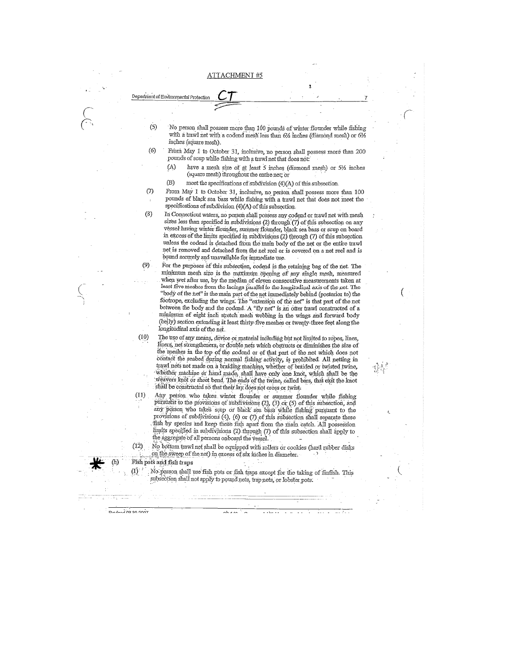Department of Environmental Protecti

 $(9)$ 

 $(10)$ 

 $(11)$ 

 $\overline{1}$ 

 $D + \frac{1}{2}$  on  $\frac{1}{2}$ 

- $(5)$ No person shall possess more than 100 pounds of winter flounder while fishing with a trawl net with a codend mesh less than  $6\%$  inches (diamond mesh) or  $6\%$ inches (square mesh).
- $(6)$ From May 1 to October 31, inclusive, no person shall possess more than 200 pounds of scup while fishing with a trawl net that does not:
	- have a mesh size of at least 5 inches (diamond mesh) or  $5\frac{1}{2}$  inches  $(A)$ (square mesh) throughout the entire net; or
	- $(B)$ meet the specifications of subdivision (4)(A) of this subsection.
- From May 1 to October 31, inclusive, no person shall possess more than 100  $(7)$ pounds of black sea bass while fishing with a trawl net that does not meet the specifications of subdivision (4)(A) of this subsection
- $(8)$ In Connecticut waters, no person shall possess any codend or trawl net with mesh sizes less than specified in subdivisions (2) through (7) of this subsection on any vessel having winter flounder, summer flounder, black sea bass or scup on board in excess of the limits specified in subdivisions (2) through (7) of this subsection unless the codend is detached from the main body of the net or the entire trawl net is removed and detached from the net reel or is covered on a net reel and is bound securely and unavailable for immediate use.
	- For the purposes of this subsection, codend is the retaining bag of the net. The minimum mesh size is the maximum opening of any single mesh, measured when wet after use, by the median of eleven consecutive measurements taken at least five meshes from the lacings parallel to the longitudinal axis of the net. The "body of the net" is the main part of the net immediately behind (posterior to) the footrope, excluding the wings. The "extension of the net" is that part of the net between the body and the codend. A "fly net" is an otter trawl constructed of a minimum of eight inch stretch mesh webbing in the wings and forward body (belly) section extending at least thirty-five meshes or twenty-three feet along the longitudinal axis of the net.
	- The use of any means, device or material including but not limited to ropes, lines, liners, net strengtheners, or double nets which obstructs or diminishes the size of the meshes in the top of the codend or of that part of the net which does not contact the seabed during normal fishing activity, is prohibited. All netting in trawl nets not made on a braiding machine, whether of braided or twisted twine, whether machine or hand made, shall have only one knot, which shall be the weavers knot or sheet bend. The ends of the twine, called bars, that exit the knot shall be constructed so that their lay does not cross or twist-
	- Any person who takes winter flounder or summer flounder while fishing pursuant to the provisions of subdivisions (2), (3) or (5) of this subsection, and any person who takes scup or black sea bass while fishing pursuant to the provisions of subdivisions (4), (6) or (7) of this subsection shall separate these fish by species and keep these fish apart from the main catch. All possession limits specified in subdivisions (2) through (7) of this subsection shall apply to the aggregate of all persons onboard the vessel.
- No bottom trawl net shall be equipped with rollers or cookies (hard rubber disks  $(12)$ on the sweep of the net) in excess of six inches in diameter.

#### Fish pots and fish traps

No person shall use fish pots or fish traps except for the taking of finfish. This subsection shall not apply to pound nets, trap nets, or lobster pots.

والمعاصر الفارقية

 $\mathcal{A}=\mathcal{A}=\mathcal{A}=\mathcal{A}$ 

nh a rh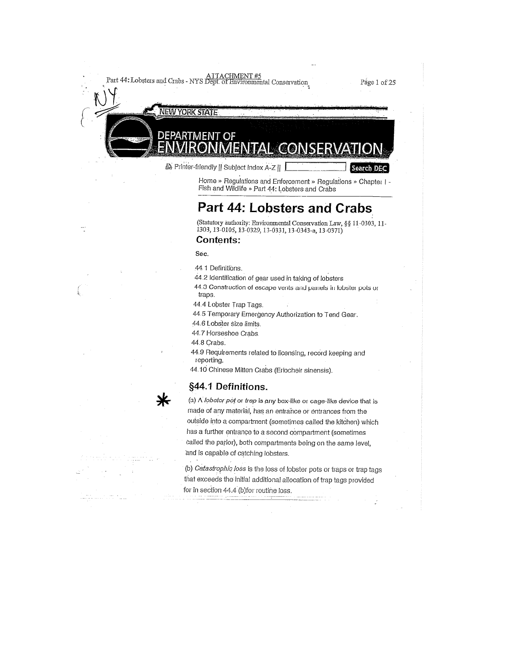Part 44: Lobsters and Crabs - NYS Dept. of Environmental Conservation

Page 1 of 25

Search DEC

**NEW YORK STATE** 

EPARTMENT

■ Printer-friendly || Subject Index A-Z ||

 $\Omega$ 

Home » Regulations and Enforcement » Regulations » Chapter I -Fish and Wildlife » Part 44: Lobsters and Crabs

# Part 44: Lobsters and Crabs

(Statutory authority: Environmental Conservation Law, §§ 11-0303, 11-1303, 13-0105, 13-0329, 13-0331, 13-0343-a, 13-0371)

### **Contents:**

Sec.

44.1 Definitions.

44.2 Identification of gear used in taking of lobsters

44.3 Construction of escape vents and panels in lobster pots or traps.

44.4 Lobster Trap Tags.

44.5 Temporary Emergency Authorization to Tend Gear.

44.6 Lobster size limits.

44.7 Horseshoe Crabs.

44.8 Crabs.

44.9 Requirements related to licensing, record keeping and reporting.

44.10 Chinese Mitten Crabs (Eriocheir sinensis).

## §44.1 Definitions.

(a) A lobster pot or trap is any box-like or cage-like device that is made of any material, has an entrance or entrances from the outside into a compartment (sometimes called the kitchen) which has a further entrance to a second compartment (sometimes called the parlor), both compartments being on the same level, and is capable of catching lobsters.

(b) Catastrophic loss is the loss of lobster pots or traps or trap tags that exceeds the initial additional allocation of trap tags provided for in section 44.4 (b)for routine loss.

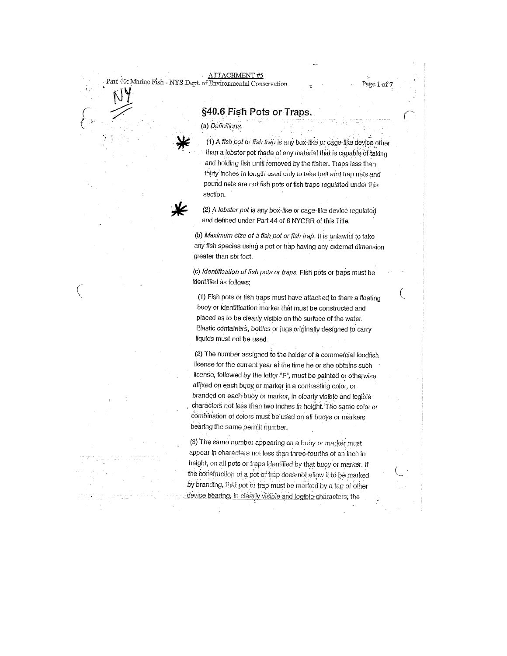**AITACHMENT#5** Part 40: Marine Fish - NYS Dept. of Environmental Conservation

Page 1 of 7

€

## §40.6 Fish Pots or Traps.

(a) Definitions.

(1) A fish pot or fish trap is any box-like or cage-like device other than a lobster pot made of any material that is capable of taking and holding fish until removed by the fisher. Traps less than thirty inches in length used only to take bait and trap nets and pound nets are not fish pots or fish traps regulated under this section.



(2) A lobster pot is any box-like or cage-like device regulated and defined under Part 44 of 6 NYCRR of this Title.

(b) Maximum size of a fish pot or fish trap. It is unlawful to take any fish species using a pot or trap having any external dimension greater than six feet.

(c) Identification of fish pots or traps. Fish pots or traps must be identified as follows:

(1) Fish pots or fish traps must have attached to them a floating buoy or identification marker that must be constructed and placed as to be clearly visible on the surface of the water. Plastic containers, bottles or jugs originally designed to carry liquids must not be used.

(2) The number assigned to the holder of a commercial foodfish license for the current year at the time he or she obtains such license, followed by the letter "F", must be painted or otherwise affixed on each buoy or marker in a contrasting color, or branded on each buoy or marker, in clearly visible and legible characters not less than two inches in height. The same color or combination of colors must be used on all buoys or markers bearing the same permit number.

(3) The same number appearing on a buoy or marker must appear in characters not less than three-fourths of an inch in height, on all pots or traps identified by that buoy or marker. If the construction of a pot or trap does not allow it to be marked by branding, that pot or trap must be marked by a tag or other device bearing, in clearly visible and legible characters, the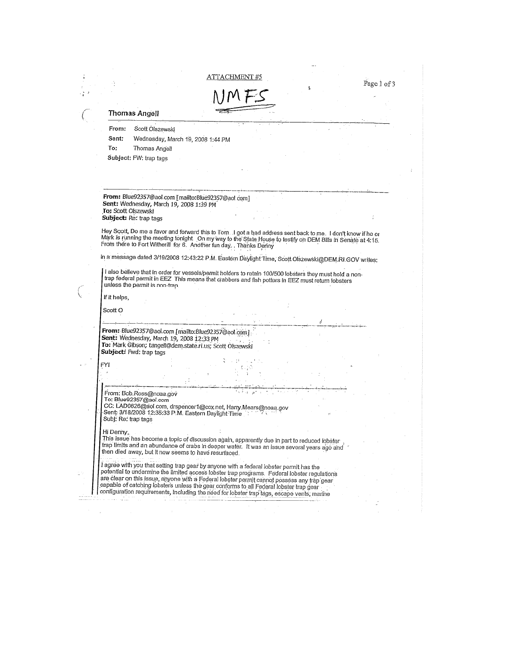|                                                                                                                                                                                                                                                                                                                                                                                 | Page 1 of 3 |  |
|---------------------------------------------------------------------------------------------------------------------------------------------------------------------------------------------------------------------------------------------------------------------------------------------------------------------------------------------------------------------------------|-------------|--|
| Thomas Angell                                                                                                                                                                                                                                                                                                                                                                   |             |  |
| Scott Olszewski<br>From:                                                                                                                                                                                                                                                                                                                                                        |             |  |
| Sent:<br>Wednesday, March 19, 2008 1:44 PM                                                                                                                                                                                                                                                                                                                                      |             |  |
| To:<br>Thomas Angell                                                                                                                                                                                                                                                                                                                                                            |             |  |
| Subject: FW: trap tags                                                                                                                                                                                                                                                                                                                                                          |             |  |
|                                                                                                                                                                                                                                                                                                                                                                                 |             |  |
|                                                                                                                                                                                                                                                                                                                                                                                 |             |  |
|                                                                                                                                                                                                                                                                                                                                                                                 |             |  |
| From: Blue92357@aol.com [mailto:Blue92357@aol.com]<br>Sent: Wednesday, March 19, 2008 1:39 PM                                                                                                                                                                                                                                                                                   |             |  |
| To: Scott Olszewski                                                                                                                                                                                                                                                                                                                                                             |             |  |
| Subject: Re: trap tags                                                                                                                                                                                                                                                                                                                                                          |             |  |
| Hey Scott, Do me a favor and forward this to Tom. I got a bad address sent back to me. I don't know if he or<br>Mark is running the meeting tonight On my way to the State House to testify on DEM Bills in Senate at 4:15.<br>From there to Fort Witherill for 6. Another fun day. Thanks Denny                                                                                |             |  |
| In a message dated 3/19/2008 12:43:22 P.M. Eastern Daylight Time, Scott Olszewski@DEM.RI.GOV writes:                                                                                                                                                                                                                                                                            |             |  |
|                                                                                                                                                                                                                                                                                                                                                                                 |             |  |
| I also believe that in order for vessels/permit holders to retain 100/500 lobsters they must hold a non-<br>trap federal permit in EEZ This means that crabbers and fish potters in EEZ must return lobsters<br>unless the permit is non-trap.                                                                                                                                  |             |  |
| If it helps,                                                                                                                                                                                                                                                                                                                                                                    |             |  |
| Scott O                                                                                                                                                                                                                                                                                                                                                                         |             |  |
|                                                                                                                                                                                                                                                                                                                                                                                 |             |  |
| From: Blue92357@aol.com [mailto:Blue92357@aol.com]                                                                                                                                                                                                                                                                                                                              |             |  |
| Sent: Wednesday, March 19, 2008 12:33 PM<br>To: Mark Gibson; tangell@dem.state.ri.us; Scott Olszewski<br>Subject: Fwd: trap tags                                                                                                                                                                                                                                                |             |  |
|                                                                                                                                                                                                                                                                                                                                                                                 |             |  |
| FYI                                                                                                                                                                                                                                                                                                                                                                             |             |  |
|                                                                                                                                                                                                                                                                                                                                                                                 |             |  |
| From: Bob.Ross@noaa.gov                                                                                                                                                                                                                                                                                                                                                         |             |  |
| To: Blue92357@aol.com                                                                                                                                                                                                                                                                                                                                                           |             |  |
| CC: LAD0626@aol.com, drspencer1@cox.net, Harry, Mears@noaa.gov<br>Sent: 3/18/2008 12:35:33 P.M. Eastern Daylight Time<br>Subj: Re: trap tags                                                                                                                                                                                                                                    |             |  |
| Hi Denny,                                                                                                                                                                                                                                                                                                                                                                       |             |  |
|                                                                                                                                                                                                                                                                                                                                                                                 |             |  |
| This issue has become a topic of discussion again, apparently due in part to reduced lobster<br>trap limits and an abundance of crabs in deeper water. It was an issue several years ago and<br>then died away, but it now seems to have resurfaced.                                                                                                                            |             |  |
|                                                                                                                                                                                                                                                                                                                                                                                 |             |  |
| I agree with you that setting trap gear by anyone with a federal lobster permit has the<br>potential to undermine the limited access lobster trap programs. Federal lobster regulations<br>are clear on this issue, anyone with a Federal lobster permit cannot possess any trap gear<br>capable of catching lobsters unless the gear conforms to all Federal lobster trap gear |             |  |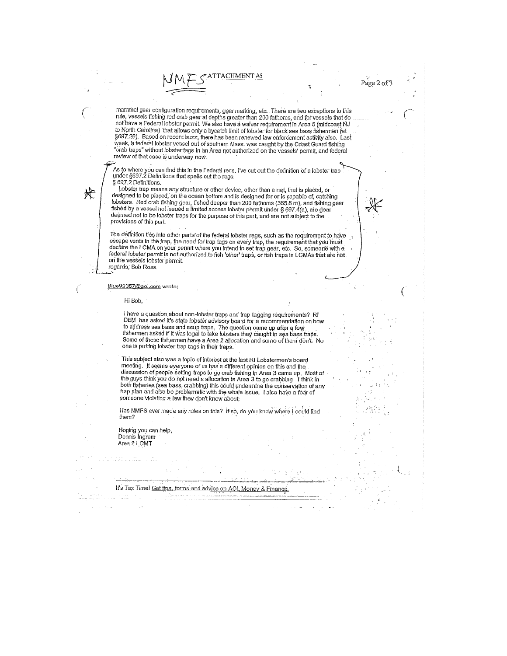# TACHMENT #5

mammal gear configuration requirements, gear marking, etc. There are two exceptions to this rule, vessels that do<br>rule, vessels fishing red crab gear at depths greater than 200 fathoms, and for vessels that do not have a Federal lobster permit. We also have a waiver requirement in Area 5 (midcoast NJ to North Carolina) that allows only a bycatch limit of lobster for black sea bass fishermen (at to region carolinary that allows only a bycated million constel for bigget you below increment activity also.<br>S697.26). Based on recent buzz, there has been renewed law enforcement activity also. Last<br>week, a federal lobst "crab traps" without lobster tags in an Area not authorized on the vessels' permit, and federal review of that case is underway now.

As to where you can find this in the Federal regs, I've cut out the definition of a lobster trap .<br>under §697.2 Definitions that spells out the regs. § 697.2 Definitions.

 $*$ 

 $\overline{z}$ 

 $\left($ 

 $S$  by AZ Demnitons.<br>
Lobster trap means any structure or other device, other than a net, that is placed, or<br>
designed to be placed, on the ocean bottom and is designed for or is capable of, catching<br>
lobsters. Red crab f deemed not to be lobster traps for the purpose of this part, and are not subject to the provisions of this part.

The definition ties into other parts of the federal lobster regs, such as the requirement to have escape vents in the trap, the need for trap tags on every trap, the requirement that you must<br>declare the LCMA on your permit where you intend to set trap gear, etc. So, someone with a federal lobster permit is not authorized to fish 'other' traps, or fish traps in LCMAs that are not on the vessels lobster permit. regards, Bob Ross

Blue92357@aol.com wrote:

Hi Bob.

I have a question about non-lobster traps and trap tagging requirements? RI The a question about non-looser traps and trap tagging requirements river<br>DEM has asked it's state lobster advisory board for a recommendation on how<br>to address sea bass and scup traps. The question came up after a few<br>fis one is putting lobster trap tags in their traps.

This subject also was a topic of interest at the last RI Lobstermen's board meeting. It seems everyone of us has a different opinion on this and the<br>discussion of people setting traps to go crab fishing in Area 3 came up. Most of<br>discussion of people setting traps to go crab fishing in Area 3 came both fisheries (sea bass, crabbing) this could undermine the conservation of any trap plan and also be problematic with the whale issue. I also have a fear of someone violating a law they don't know about.

Has NMFS ever made any rules on this? If so, do you know where I could find them?

Hoping you can help, Dennis Ingram<br>Area 2 LCMT

It's Tax Time! Get tips, forms and advice on AOL Money & Finance. a a film con extension and construction components in the ta india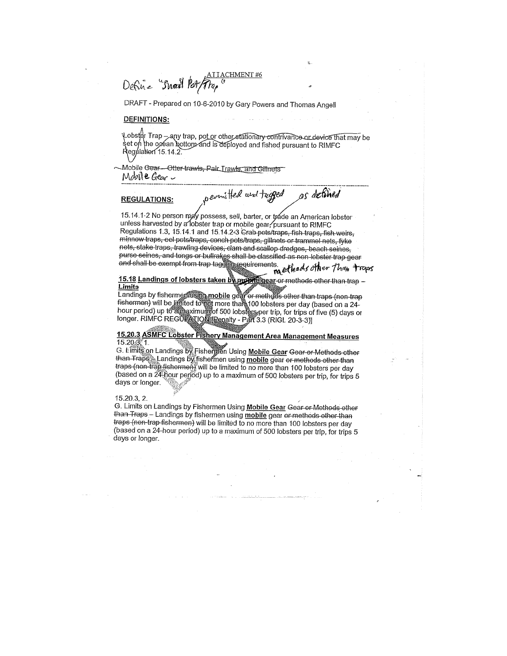### **I TACHMENT #6** Define Small Pot Frap

DRAFT - Prepared on 10-6-2010 by Gary Powers and Thomas Angell

#### **DEFINITIONS:**

Վobster Trap – any trap, pot or other stationa<del>ry contrivance or device that ma</del>y be<br>set on the oαéan bottom∕and is deployed and fished pursuant to RIMFC Regulation 15.14.2

Mobile Gear-Otter-trawls, Pair Trawls, and Gillnets Mobil & Gear -

#### **REGULATIONS:**

permitted and tugged as defined

15.14.1-2 No person may possess, sell, barter, or tyade an American lobster unless harvested by a lobster trap or mobile gear, pursuant to RIMFC Regulations 1.3, 15.14.1 and 15.14.2-3 Grab pots/traps, fish traps, fish weirs, minnow traps, cel pots/traps, conch pots/traps, gillnets or trammel nets, fyke nets, stake traps, trawling devices, clam and scallop dredges, beach seines, purse seines, and tongs or bullrakes shall be classified as non lobster trap gear and shall be exempt from trap tagging requirements. the ethods other Than trops

15.18 Landings of lobsters taken by moderator methods other than trap -**Limits** 

Linius<br>Landings by fisherme flusting mobile gear or methods other than traps (non-trap Fishermen) will be limited to not more than 100 lobsters per day (based on a 24-<br>fishermen) will be limited to not more than 100 lobsters per day (based on a 24-<br>hour period) up to a maximum of 500 lobsters per trip, for t

### 15.20.3 ASMFC Lobster Fishery Management Area Management Measures  $15.20.3, 1$

G. Limits on Landings by Fishermen Using Mobile Gear Gear or Methods other<br>than Trape Landings by fishermen using mobile gear or methods other than<br>traps (non-trap fishermen) will be limited to no more than 100 lobsters pe (based on a 24-hour period) up to a maximum of 500 lobsters per trip, for trips 5 days or longer.

#### 15.20.3, 2.

G. Limits on Landings by Fishermen Using Mobile Gear Gear or Methods other than Traps - Landings by fishermen using mobile gear or methods other than traps (non-trap fishermen) will be limited to no more than 100 lobsters per day (based on a 24-hour period) up to a maximum of 500 lobsters per trip, for trips 5 days or longer.